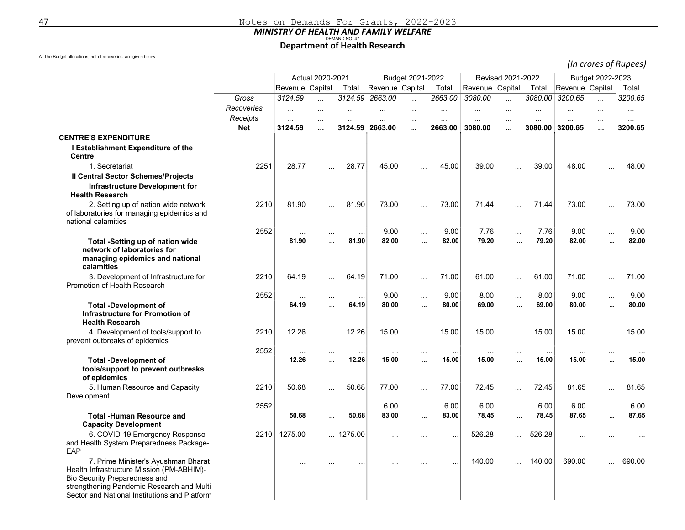## MINISTRY OF HEALTH AND FAMILY WELFARE<br>Department of Health Research

A. The Budget allocations, net of recoveries, are given below:

(In crores of Rupees)

|                                                                                                                                                                                                                        |            | Actual 2020-2021 |           |                 | Budget 2021-2022 |           |           | Revised 2021-2022 |           |           | Budget 2022-2023 |                      |          |
|------------------------------------------------------------------------------------------------------------------------------------------------------------------------------------------------------------------------|------------|------------------|-----------|-----------------|------------------|-----------|-----------|-------------------|-----------|-----------|------------------|----------------------|----------|
|                                                                                                                                                                                                                        |            | Revenue Capital  | Total     |                 | Revenue Capital  |           | Total     | Revenue Capital   |           | Total     | Revenue Capital  | Total                |          |
|                                                                                                                                                                                                                        | Gross      | 3124.59          | $\cdots$  | 3124.59         | 2663.00          | $\ldots$  | 2663.00   | 3080.00           | $\ldots$  | 3080.00   | 3200.65          | $\cdots$             | 3200.65  |
|                                                                                                                                                                                                                        | Recoveries | .                | $\ddotsc$ | $\ldots$        | $\cdots$         | $\ddotsc$ |           | .                 | $\ddotsc$ | $\ddotsc$ |                  | $\cdots$             | $\cdots$ |
|                                                                                                                                                                                                                        | Receipts   | $\ldots$         | $\ddotsc$ | $\cdots$        | $\cdots$         | .         |           | $\ldots$          | $\ddotsc$ | $\ddotsc$ | $\ddotsc$        | $\cdots$             | $\cdots$ |
|                                                                                                                                                                                                                        | <b>Net</b> | 3124.59          | $\cdots$  | 3124.59         | 2663.00          |           | 2663.00   | 3080.00           |           | 3080.00   | 3200.65          |                      | 3200.65  |
| <b>CENTRE'S EXPENDITURE</b><br>I Establishment Expenditure of the                                                                                                                                                      |            |                  |           |                 |                  |           |           |                   |           |           |                  |                      |          |
| Centre                                                                                                                                                                                                                 |            |                  |           |                 |                  |           |           |                   |           |           |                  |                      |          |
| 1. Secretariat                                                                                                                                                                                                         | 2251       | 28.77            |           | 28.77           | 45.00            | $\ddotsc$ | 45.00     | 39.00             | $\cdots$  | 39.00     | 48.00            | $\ddotsc$            | 48.00    |
| <b>Il Central Sector Schemes/Projects</b><br>Infrastructure Development for<br><b>Health Research</b>                                                                                                                  |            |                  |           |                 |                  |           |           |                   |           |           |                  |                      |          |
| 2. Setting up of nation wide network<br>of laboratories for managing epidemics and<br>national calamities                                                                                                              | 2210       | 81.90            | .         | 81.90           | 73.00            | $\cdots$  | 73.00     | 71.44             | $\cdots$  | 71.44     | 73.00            | $\ddotsc$            | 73.00    |
|                                                                                                                                                                                                                        | 2552       | $\ddotsc$        | $\ddotsc$ | $\ddotsc$       | 9.00             | $\ddotsc$ | 9.00      | 7.76              | $\cdots$  | 7.76      | 9.00             | $\ddotsc$            | 9.00     |
| Total -Setting up of nation wide<br>network of laboratories for<br>managing epidemics and national<br>calamities                                                                                                       |            | 81.90            | $\ddotsc$ | 81.90           | 82.00            |           | 82.00     | 79.20             | $\ddotsc$ | 79.20     | 82.00            | $\ddotsc$            | 82.00    |
| 3. Development of Infrastructure for<br>Promotion of Health Research                                                                                                                                                   | 2210       | 64.19            | $\ddotsc$ | 64.19           | 71.00            | $\ddotsc$ | 71.00     | 61.00             | $\cdots$  | 61.00     | 71.00            | $\ddotsc$            | 71.00    |
|                                                                                                                                                                                                                        | 2552       | $\cdots$         |           | $\ddotsc$       | 9.00             | $\cdots$  | 9.00      | 8.00              | $\sim$    | 8.00      | 9.00             | $\cdots$             | 9.00     |
| <b>Total -Development of</b><br><b>Infrastructure for Promotion of</b><br><b>Health Research</b>                                                                                                                       |            | 64.19            | $\ddotsc$ | 64.19           | 80.00            | $\ddotsc$ | 80.00     | 69.00             | $\ddotsc$ | 69.00     | 80.00            |                      | 80.00    |
| 4. Development of tools/support to<br>prevent outbreaks of epidemics                                                                                                                                                   | 2210       | 12.26            | $\cdots$  | 12.26           | 15.00            | $\ddotsc$ | 15.00     | 15.00             | $\cdots$  | 15.00     | 15.00            | $\ddotsc$            | 15.00    |
|                                                                                                                                                                                                                        | 2552       | $\ddotsc$        | $\cdots$  | $\ddotsc$       | $\cdots$         | $\ldots$  | $\cdots$  | $\cdots$          | $\cdots$  | $\sim$    | $\sim$ $\sim$    | $\sim$ $\sim$ $\sim$ | $\cdots$ |
| <b>Total -Development of</b><br>tools/support to prevent outbreaks<br>of epidemics                                                                                                                                     |            | 12.26            |           | 12.26           | 15.00            |           | 15.00     | 15.00             |           | 15.00     | 15.00            | $\ddotsc$            | 15.00    |
| 5. Human Resource and Capacity<br>Development                                                                                                                                                                          | 2210       | 50.68            |           | 50.68           | 77.00            | $\ddotsc$ | 77.00     | 72.45             | $\ddotsc$ | 72.45     | 81.65            | $\ddotsc$            | 81.65    |
|                                                                                                                                                                                                                        | 2552       | $\sim$           | $\ddotsc$ | $\ddotsc$       | 6.00             | $\cdots$  | 6.00      | 6.00              | $\cdots$  | 6.00      | 6.00             | $\ddotsc$            | 6.00     |
| <b>Total -Human Resource and</b><br><b>Capacity Development</b>                                                                                                                                                        |            | 50.68            | $\ddotsc$ | 50.68           | 83.00            |           | 83.00     | 78.45             | $\ddotsc$ | 78.45     | 87.65            | $\ddotsc$            | 87.65    |
| 6. COVID-19 Emergency Response<br>and Health System Preparedness Package-<br>EAP                                                                                                                                       | 2210       | 1275.00          |           | $\dots$ 1275.00 |                  |           |           | 526.28            | $\cdots$  | 526.28    |                  |                      |          |
| 7. Prime Minister's Ayushman Bharat<br>Health Infrastructure Mission (PM-ABHIM)-<br><b>Bio Security Preparedness and</b><br>strengthening Pandemic Research and Multi<br>Sector and National Institutions and Platform |            | $\cdots$         |           | $\ddotsc$       |                  |           | $\ddotsc$ | 140.00            | $\cdots$  | 140.00    | 690.00           |                      | 690.00   |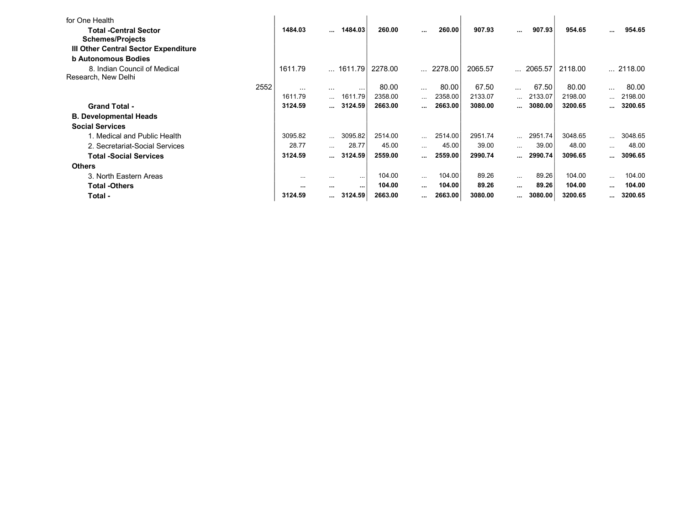| for One Health                       |          |                               |                   |         |                              |                  |         |           |                 |         |                      |                  |
|--------------------------------------|----------|-------------------------------|-------------------|---------|------------------------------|------------------|---------|-----------|-----------------|---------|----------------------|------------------|
| <b>Total -Central Sector</b>         | 1484.03  |                               | $$ 1484.03        | 260.00  | $\cdots$                     | 260.00           | 907.93  | $\cdots$  | 907.93          | 954.65  | $\ddot{\phantom{a}}$ | 954.65           |
| <b>Schemes/Projects</b>              |          |                               |                   |         |                              |                  |         |           |                 |         |                      |                  |
| III Other Central Sector Expenditure |          |                               |                   |         |                              |                  |         |           |                 |         |                      |                  |
| <b>b Autonomous Bodies</b>           |          |                               |                   |         |                              |                  |         |           |                 |         |                      |                  |
| 8. Indian Council of Medical         | 1611.79  |                               | … 1611.79 l       | 2278.00 |                              | $\ldots$ 2278.00 | 2065.57 | $\ddotsc$ | 2065.57         | 2118.00 |                      | $\ldots$ 2118.00 |
| Research, New Delhi                  |          |                               |                   |         |                              |                  |         |           |                 |         |                      |                  |
| 2552                                 | $\cdots$ | $\cdots$                      | $\cdots$          | 80.00   | $\cdots$                     | 80.00            | 67.50   | $\cdots$  | 67.50           | 80.00   | $\cdots$             | 80.00            |
|                                      | 1611.79  | $\mathbf{1}$ and $\mathbf{1}$ | 1611.79           | 2358.00 | $\cdots$                     | 2358.00          | 2133.07 |           | $\dots$ 2133.07 | 2198.00 | $\cdots$             | 2198.00          |
| <b>Grand Total -</b>                 | 3124.59  |                               | 3124.59           | 2663.00 | $\cdots$                     | 2663.00          | 3080.00 |           | 3080.00         | 3200.65 |                      | 3200.65          |
| <b>B. Developmental Heads</b>        |          |                               |                   |         |                              |                  |         |           |                 |         |                      |                  |
| <b>Social Services</b>               |          |                               |                   |         |                              |                  |         |           |                 |         |                      |                  |
| 1. Medical and Public Health         | 3095.82  | $\mathbf{1}$                  | 3095.82           | 2514.00 | $\mathcal{L}_{\text{max}}$ . | 2514.00          | 2951.74 |           | $$ 2951.74      | 3048.65 | $\ddotsc$            | 3048.65          |
| 2. Secretariat-Social Services       | 28.77    | $\cdots$                      | 28.77             | 45.00   | $\cdots$                     | 45.00            | 39.00   | $\cdots$  | 39.00           | 48.00   | $\cdots$             | 48.00            |
| <b>Total -Social Services</b>        | 3124.59  |                               | 3124.59           | 2559.00 | $\cdots$                     | 2559.00          | 2990.74 | $\cdots$  | 2990.74         | 3096.65 |                      | 3096.65          |
| <b>Others</b>                        |          |                               |                   |         |                              |                  |         |           |                 |         |                      |                  |
| 3. North Eastern Areas               | $\cdots$ | $\cdots$                      | $\cdots$          | 104.00  | $\cdots$                     | 104.00           | 89.26   | $\cdots$  | 89.26           | 104.00  | $\cdots$             | 104.00           |
| <b>Total -Others</b>                 | $\cdots$ |                               | $\sim$ 0.00 $\pm$ | 104.00  | $\cdots$                     | 104.00           | 89.26   | $\cdots$  | 89.26           | 104.00  |                      | 104.00           |
| Total -                              | 3124.59  | $\mathbf{r}$ and $\mathbf{r}$ | 3124.59           | 2663.00 | $\cdots$                     | 2663.00          | 3080.00 | $\cdots$  | 3080.00         | 3200.65 |                      | 3200.65          |